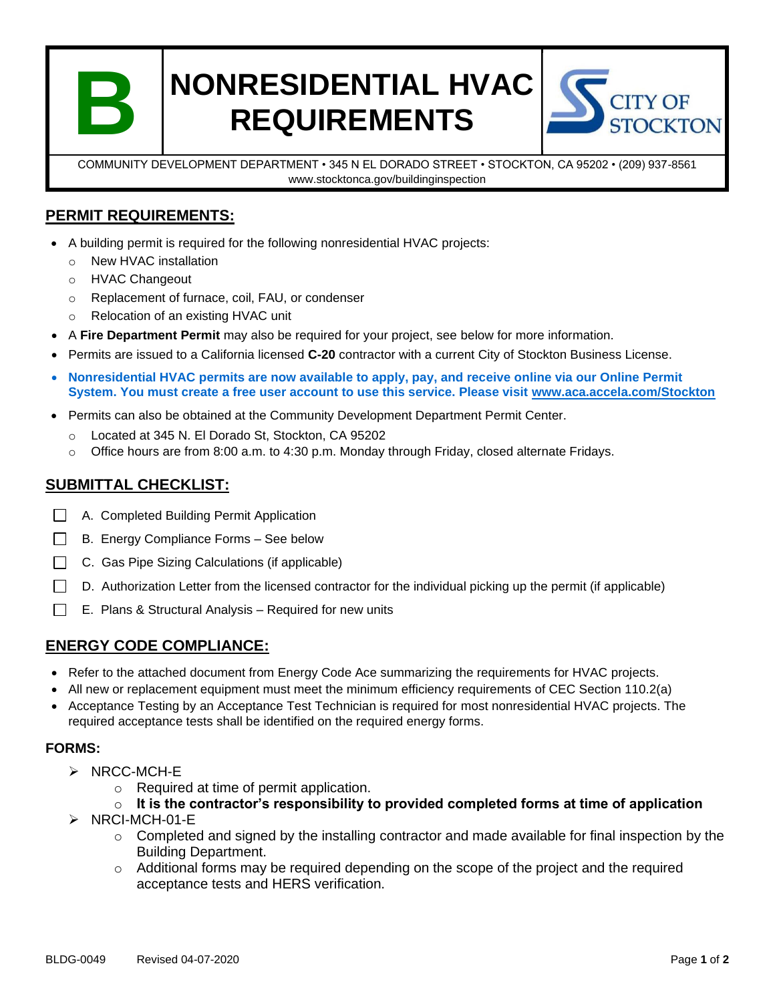

# **NONRESIDENTIAL HVAC REQUIREMENTS**



COMMUNITY DEVELOPMENT DEPARTMENT • 345 N EL DORADO STREET • STOCKTON, CA 95202 • (209) 937-8561 www.stocktonca.gov/buildinginspection

#### **PERMIT REQUIREMENTS:**

- A building permit is required for the following nonresidential HVAC projects:
	- o New HVAC installation
	- o HVAC Changeout
	- o Replacement of furnace, coil, FAU, or condenser
	- o Relocation of an existing HVAC unit
- A **Fire Department Permit** may also be required for your project, see below for more information.
- Permits are issued to a California licensed **C-20** contractor with a current City of Stockton Business License.
- **Nonresidential HVAC permits are now available to apply, pay, and receive online via our Online Permit System. You must create a free user account to use this service. Please visit [www.aca.accela.com/Stockton](http://www.aca.accela.com/Stockton)**
- Permits can also be obtained at the Community Development Department Permit Center.
	- o Located at 345 N. El Dorado St, Stockton, CA 95202
	- o Office hours are from 8:00 a.m. to 4:30 p.m. Monday through Friday, closed alternate Fridays.

#### **SUBMITTAL CHECKLIST:**

- A. Completed Building Permit Application
- $\Box$ B. Energy Compliance Forms – See below
- $\Box$ C. Gas Pipe Sizing Calculations (if applicable)
- D. Authorization Letter from the licensed contractor for the individual picking up the permit (if applicable)  $\Box$
- $\Box$ E. Plans & Structural Analysis – Required for new units

#### **ENERGY CODE COMPLIANCE:**

- Refer to the attached document from Energy Code Ace summarizing the requirements for HVAC projects.
- All new or replacement equipment must meet the minimum efficiency requirements of CEC Section 110.2(a)
- Acceptance Testing by an Acceptance Test Technician is required for most nonresidential HVAC projects. The required acceptance tests shall be identified on the required energy forms.

#### **FORMS:**

- ➢ NRCC-MCH-E
	- o Required at time of permit application.
	- o **It is the contractor's responsibility to provided completed forms at time of application**
- ➢ NRCI-MCH-01-E
	- $\circ$  Completed and signed by the installing contractor and made available for final inspection by the Building Department.
	- $\circ$  Additional forms may be required depending on the scope of the project and the required acceptance tests and HERS verification.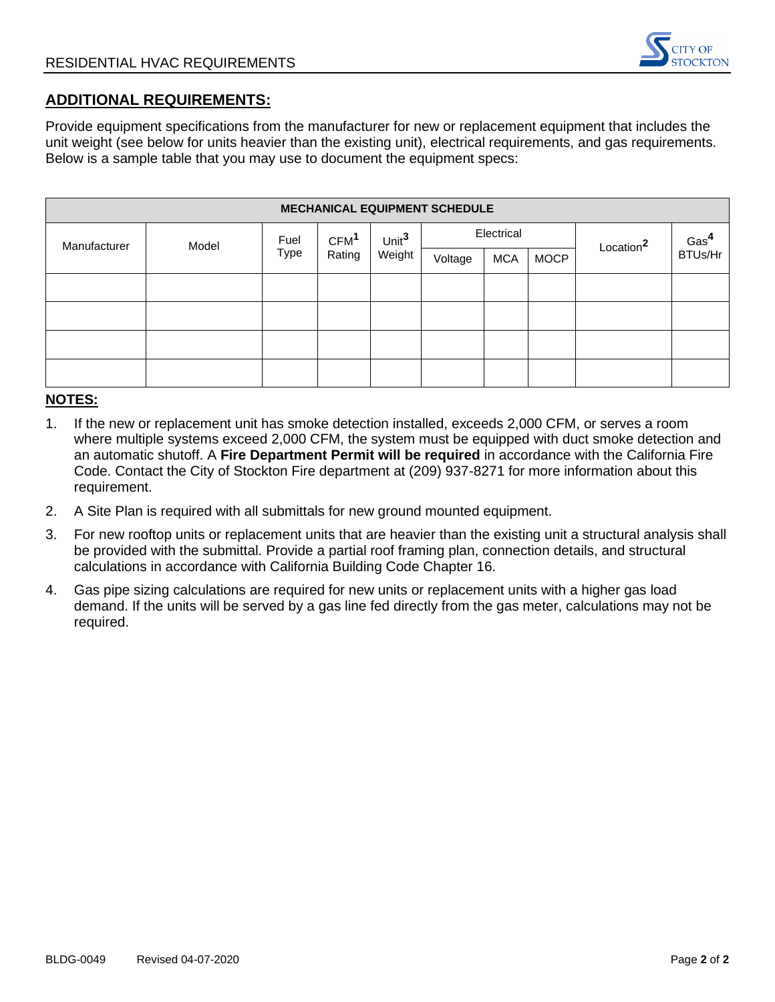

#### **ADDITIONAL REQUIREMENTS:**

Provide equipment specifications from the manufacturer for new or replacement equipment that includes the unit weight (see below for units heavier than the existing unit), electrical requirements, and gas requirements. Below is a sample table that you may use to document the equipment specs:

| <b>MECHANICAL EQUIPMENT SCHEDULE</b> |       |                     |                            |                             |            |            |             |                       |                  |  |  |
|--------------------------------------|-------|---------------------|----------------------------|-----------------------------|------------|------------|-------------|-----------------------|------------------|--|--|
| Manufacturer                         | Model | Fuel<br><b>Type</b> | CFM <sup>1</sup><br>Rating | Unit <sup>3</sup><br>Weight | Electrical |            |             | Location <sup>2</sup> | Gas <sup>4</sup> |  |  |
|                                      |       |                     |                            |                             | Voltage    | <b>MCA</b> | <b>MOCP</b> |                       | BTUs/Hr          |  |  |
|                                      |       |                     |                            |                             |            |            |             |                       |                  |  |  |
|                                      |       |                     |                            |                             |            |            |             |                       |                  |  |  |
|                                      |       |                     |                            |                             |            |            |             |                       |                  |  |  |
|                                      |       |                     |                            |                             |            |            |             |                       |                  |  |  |

#### **NOTES:**

- 1. If the new or replacement unit has smoke detection installed, exceeds 2,000 CFM, or serves a room where multiple systems exceed 2,000 CFM, the system must be equipped with duct smoke detection and an automatic shutoff. A **Fire Department Permit will be required** in accordance with the California Fire Code. Contact the City of Stockton Fire department at (209) 937-8271 for more information about this requirement.
- 2. A Site Plan is required with all submittals for new ground mounted equipment.
- 3. For new rooftop units or replacement units that are heavier than the existing unit a structural analysis shall be provided with the submittal. Provide a partial roof framing plan, connection details, and structural calculations in accordance with California Building Code Chapter 16.
- 4. Gas pipe sizing calculations are required for new units or replacement units with a higher gas load demand. If the units will be served by a gas line fed directly from the gas meter, calculations may not be required.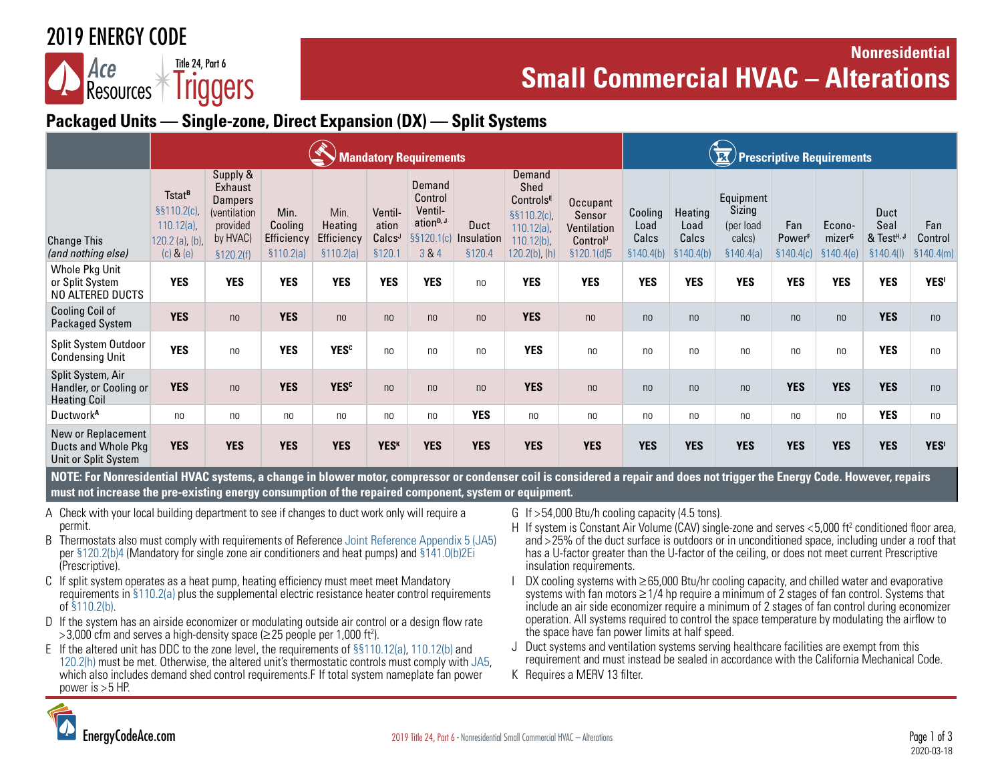## 2019 ENERGY CODE

#### Resources<sup>T</sup> Title 24, Part 6 **Iriggers**

### **Nonresidential**  Ace **Figure 1, Part 6**<br>**Small Commercial HVAC – Alterations**

### **Packaged Units — Single-zone, Direct Expansion (DX) — Split Systems**

|                                                                    | <b>landatory Requirements</b>                                                          |                                                                                             |                                             |                                             |                                                  |                                                                              |                              |                                                                                                   | $\theta$ Prescriptive Requirements                          |                                        |                                        |                                                          |                                                |                                            |                                                      |                              |
|--------------------------------------------------------------------|----------------------------------------------------------------------------------------|---------------------------------------------------------------------------------------------|---------------------------------------------|---------------------------------------------|--------------------------------------------------|------------------------------------------------------------------------------|------------------------------|---------------------------------------------------------------------------------------------------|-------------------------------------------------------------|----------------------------------------|----------------------------------------|----------------------------------------------------------|------------------------------------------------|--------------------------------------------|------------------------------------------------------|------------------------------|
| <b>Change This</b><br>(and nothing else)                           | Tstat <sup>B</sup><br>§§110.2(c),<br>$110.12(a)$ ,<br>120.2 (a), (b),<br>$(c)$ & $(e)$ | Supply &<br>Exhaust<br><b>Dampers</b><br>(ventilation<br>provided<br>by HVAC)<br>\$120.2(f) | Min.<br>Cooling<br>Efficiency<br>\$110.2(a) | Min.<br>Heating<br>Efficiency<br>\$110.2(a) | Ventil-<br>ation<br>Calcs <sup>J</sup><br>\$120. | Demand<br>Control<br>Ventil-<br>ation <sup>D, J</sup><br>§§120.1(c)<br>3 & 4 | Duct<br>Insulation<br>§120.4 | Demand<br>Shed<br><b>ControlsE</b><br>§§110.2(c),<br>110.12(a),<br>110.12(b),<br>$120.2(b)$ , (h) | Occupant<br>Sensor<br>Ventilation<br>Control<br>\$120.1(d)5 | Cooling<br>Load<br>Calcs<br>\$140.4(b) | Heating<br>Load<br>Calcs<br>\$140.4(b) | Equipment<br>Sizing<br>(per load<br>calcs)<br>\$140.4(a) | Fan<br><b>Power</b> <sup>F</sup><br>\$140.4(c) | Econo-<br>mizer <sup>G</sup><br>\$140.4(e) | Duct<br>Seal<br>& Test <sup>H, J</sup><br>\$140.4(1) | Fan<br>Control<br>\$140.4(m) |
| Whole Pkg Unit<br>or Split System<br>NO ALTERED DUCTS              | <b>YES</b>                                                                             | <b>YES</b>                                                                                  | <b>YES</b>                                  | <b>YES</b>                                  | <b>YES</b>                                       | <b>YES</b>                                                                   | n <sub>0</sub>               | <b>YES</b>                                                                                        | <b>YES</b>                                                  | <b>YES</b>                             | <b>YES</b>                             | <b>YES</b>                                               | <b>YES</b>                                     | <b>YES</b>                                 | <b>YES</b>                                           | <b>YES'</b>                  |
| <b>Cooling Coil of</b><br>Packaged System                          | <b>YES</b>                                                                             | n <sub>0</sub>                                                                              | <b>YES</b>                                  | n <sub>0</sub>                              | n <sub>0</sub>                                   | n <sub>0</sub>                                                               | n <sub>0</sub>               | <b>YES</b>                                                                                        | n <sub>0</sub>                                              | n <sub>0</sub>                         | n <sub>0</sub>                         | n <sub>0</sub>                                           | n <sub>0</sub>                                 | n <sub>0</sub>                             | <b>YES</b>                                           | n <sub>0</sub>               |
| Split System Outdoor<br><b>Condensing Unit</b>                     | <b>YES</b>                                                                             | n <sub>0</sub>                                                                              | <b>YES</b>                                  | <b>YES<sup>c</sup></b>                      | no                                               | n <sub>0</sub>                                                               | no                           | <b>YES</b>                                                                                        | n <sub>0</sub>                                              | n <sub>0</sub>                         | no                                     | no                                                       | no                                             | n <sub>0</sub>                             | <b>YES</b>                                           | n <sub>0</sub>               |
| Split System, Air<br>Handler, or Cooling or<br><b>Heating Coil</b> | <b>YES</b>                                                                             | n <sub>0</sub>                                                                              | <b>YES</b>                                  | <b>YES<sup>c</sup></b>                      | n <sub>0</sub>                                   | n <sub>0</sub>                                                               | n <sub>0</sub>               | <b>YES</b>                                                                                        | n <sub>0</sub>                                              | n <sub>0</sub>                         | n <sub>0</sub>                         | n <sub>0</sub>                                           | <b>YES</b>                                     | <b>YES</b>                                 | <b>YES</b>                                           | n <sub>0</sub>               |
| Ductwork <sup>A</sup>                                              | n <sub>0</sub>                                                                         | n <sub>0</sub>                                                                              | n <sub>0</sub>                              | n <sub>0</sub>                              | no                                               | n <sub>0</sub>                                                               | <b>YES</b>                   | no                                                                                                | n <sub>0</sub>                                              | n <sub>0</sub>                         | no                                     | no                                                       | n <sub>0</sub>                                 | n <sub>0</sub>                             | <b>YES</b>                                           | n <sub>0</sub>               |
| New or Replacement<br>Ducts and Whole Pkg<br>Unit or Split System  | <b>YES</b>                                                                             | <b>YES</b>                                                                                  | <b>YES</b>                                  | <b>YES</b>                                  | <b>YES<sup>K</sup></b>                           | <b>YES</b>                                                                   | <b>YES</b>                   | <b>YES</b>                                                                                        | <b>YES</b>                                                  | <b>YES</b>                             | <b>YES</b>                             | <b>YES</b>                                               | <b>YES</b>                                     | <b>YES</b>                                 | <b>YES</b>                                           | <b>YES'</b>                  |

**NOTE: For Nonresidential HVAC systems, a change in blower motor, compressor or condenser coil is considered a repair and does not trigger the Energy Code. However, repairs must not increase the pre-existing energy consumption of the repaired component, system or equipment.**

- A Check with your local building department to see if changes to duct work only will require a permit.
- B Thermostats also must comply with requirements of Reference [Joint Reference Appendix 5 \(JA5\)](https://energycodeace.com/site/custom/public/reference-ace-2019/Documents/appendixja5technicalspecificationsforoccupantcontrolledsmartther.htm) per [§120.2\(b\)4](https://energycodeace.com/site/custom/public/reference-ace-2019/Documents/section1202requiredcontrolsforspaceconditioningsystems.htm) (Mandatory for single zone air conditioners and heat pumps) and [§141.0\(b\)2Ei](http://energycodeace.com/site/custom/public/reference-ace-2016/index.html#!Documents/sec1410additionsalterationsrepairstoexistingbuildingsthatwillben.htm) (Prescriptive).
- C If split system operates as a heat pump, heating efficiency must meet meet Mandatory requirements in [§110.2\(a\)](https://energycodeace.com/site/custom/public/reference-ace-2019/Documents/section1102mandatoryrequirementsforspaceconditioningequipment.htm) plus the supplemental electric resistance heater control requirements of [§110.2\(b\).](https://energycodeace.com/site/custom/public/reference-ace-2019/Documents/section1102mandatoryrequirementsforspaceconditioningequipment.htm)
- D If the system has an airside economizer or modulating outside air control or a design flow rate >3,000 cfm and serves a high-density space (≥25 people per 1,000 ft<sup>2</sup>).
- E If the altered unit has DDC to the zone level, the requirements of [§§110.12\(a\), 110.12\(b\)](https://energycodeace.com/site/custom/public/reference-ace-2019/index.html#!Documents/section11012mandatoryrequirementsfordemandmanagement.htm) and [120.2\(h\)](https://energycodeace.com/site/custom/public/reference-ace-2019/Documents/section1202requiredcontrolsforspaceconditioningsystems.htm) must be met. Otherwise, the altered unit's thermostatic controls must comply with [JA5,](https://energycodeace.com/site/custom/public/reference-ace-2019/Documents/appendixja5technicalspecificationsforoccupantcontrolledsmartther.htm) which also includes demand shed control requirements.F If total system nameplate fan power power is  $>$  5 HP.
- G If > 54,000 Btu/h cooling capacity (4.5 tons).
- H If system is Constant Air Volume (CAV) single-zone and serves < 5,000 ft<sup>2</sup> conditioned floor area, and > 25% of the duct surface is outdoors or in unconditioned space, including under a roof that has a U-factor greater than the U-factor of the ceiling, or does not meet current Prescriptive insulation requirements.
- DX cooling systems with ≥65,000 Btu/hr cooling capacity, and chilled water and evaporative systems with fan motors ≥1/4 hp require a minimum of 2 stages of fan control. Systems that include an air side economizer require a minimum of 2 stages of fan control during economizer operation. All systems required to control the space temperature by modulating the airflow to the space have fan power limits at half speed.
- J Duct systems and ventilation systems serving healthcare facilities are exempt from this requirement and must instead be sealed in accordance with the California Mechanical Code.
- K Requires a MERV 13 filter.

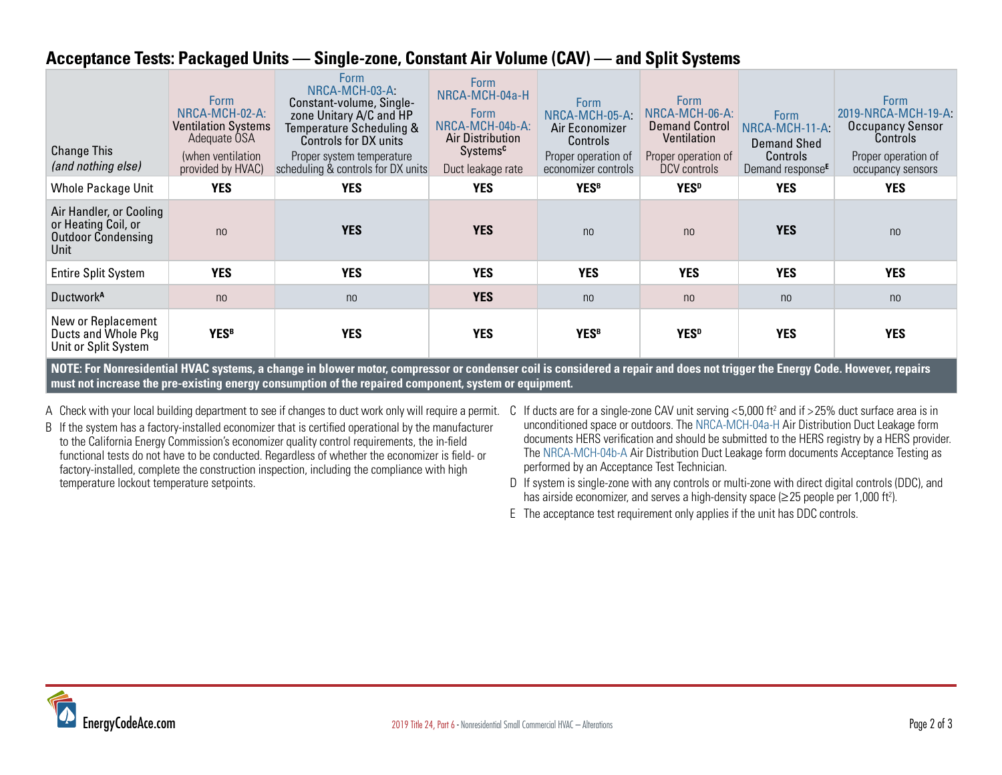#### **Acceptance Tests: Packaged Units — Single-zone, Constant Air Volume (CAV) — and Split Systems**

| <b>Change This</b><br>(and nothing else)                                                                                                                                    | <b>Form</b><br>NRCA-MCH-02-A:<br><b>Ventilation Systems</b><br>Adequate OSA<br>(when ventilation<br>provided by HVAC) | <b>Form</b><br>NRCA-MCH-03-A<br>Constant-volume, Single-<br>zone Unitary A/C and HP<br>Temperature Scheduling &<br>Controls for DX units<br>Proper system temperature<br>scheduling & controls for DX units | <b>Form</b><br>NRCA-MCH-04a-H<br><b>Form</b><br>NRCA-MCH-04b-A:<br><b>Air Distribution</b><br>Systems <sup>c</sup><br>Duct leakage rate | <b>Form</b><br>NRCA-MCH-05-A<br>Air Economizer<br><b>Controls</b><br>Proper operation of<br>economizer controls | <b>Form</b><br>NRCA-MCH-06-A:<br><b>Demand Control</b><br>Ventilation<br>Proper operation of<br>DCV controls | <b>Form</b><br>NRCA-MCH-11-A<br><b>Demand Shed</b><br>Controls<br>Demand response <sup>E</sup> | <b>Form</b><br>2019-NRCA-MCH-19-A:<br>Occupancy Sensor<br>Controls<br>Proper operation of<br>occupancy sensors |  |  |  |  |
|-----------------------------------------------------------------------------------------------------------------------------------------------------------------------------|-----------------------------------------------------------------------------------------------------------------------|-------------------------------------------------------------------------------------------------------------------------------------------------------------------------------------------------------------|-----------------------------------------------------------------------------------------------------------------------------------------|-----------------------------------------------------------------------------------------------------------------|--------------------------------------------------------------------------------------------------------------|------------------------------------------------------------------------------------------------|----------------------------------------------------------------------------------------------------------------|--|--|--|--|
| <b>Whole Package Unit</b>                                                                                                                                                   | <b>YES</b>                                                                                                            | <b>YES</b>                                                                                                                                                                                                  | <b>YES</b>                                                                                                                              | <b>YESB</b>                                                                                                     | <b>YES</b> <sup>D</sup>                                                                                      | <b>YES</b>                                                                                     | <b>YES</b>                                                                                                     |  |  |  |  |
| Air Handler, or Cooling<br>or Heating Coil, or<br><b>Outdoor Condensing</b><br>Unit                                                                                         | n <sub>0</sub>                                                                                                        | <b>YES</b>                                                                                                                                                                                                  | <b>YES</b>                                                                                                                              | n <sub>0</sub>                                                                                                  | n <sub>0</sub>                                                                                               | <b>YES</b>                                                                                     | n <sub>0</sub>                                                                                                 |  |  |  |  |
| <b>Entire Split System</b>                                                                                                                                                  | <b>YES</b>                                                                                                            | <b>YES</b>                                                                                                                                                                                                  | <b>YES</b>                                                                                                                              | <b>YES</b>                                                                                                      | <b>YES</b>                                                                                                   | <b>YES</b>                                                                                     | <b>YES</b>                                                                                                     |  |  |  |  |
| Ductwork <sup>A</sup>                                                                                                                                                       | n <sub>0</sub>                                                                                                        | n <sub>0</sub>                                                                                                                                                                                              | <b>YES</b>                                                                                                                              | n <sub>0</sub>                                                                                                  | n <sub>0</sub>                                                                                               | n <sub>0</sub>                                                                                 | n <sub>0</sub>                                                                                                 |  |  |  |  |
| New or Replacement<br>Ducts and Whole Pkg<br>Unit or Split System                                                                                                           | <b>YESB</b>                                                                                                           | <b>YES</b>                                                                                                                                                                                                  | <b>YES</b>                                                                                                                              | <b>YESB</b>                                                                                                     | YES <sup>D</sup>                                                                                             | <b>YES</b>                                                                                     | <b>YES</b>                                                                                                     |  |  |  |  |
| NOTE: For Nonresidential HVAC systems, a change in blower motor, compressor or condenser coil is considered a repair and does not trigger the Energy Code. However, repairs |                                                                                                                       |                                                                                                                                                                                                             |                                                                                                                                         |                                                                                                                 |                                                                                                              |                                                                                                |                                                                                                                |  |  |  |  |

**must not increase the pre-existing energy consumption of the repaired component, system or equipment.**

- A Check with your local building department to see if changes to duct work only will require a permit.
- B If the system has a factory-installed economizer that is certified operational by the manufacturer to the California Energy Commission's economizer quality control requirements, the in-field functional tests do not have to be conducted. Regardless of whether the economizer is field- or factory-installed, complete the construction inspection, including the compliance with high temperature lockout temperature setpoints.
- C If ducts are for a single-zone CAV unit serving  $<$  5,000 ft<sup>2</sup> and if  $>$  25% duct surface area is in unconditioned space or outdoors. The [NRCA-MCH-04a-H](https://www.energy.ca.gov/title24/2019standards/2019_compliance_documents/Nonresidential_Documents/NRCA/2019-NRCA-MCH-04a-H-AirDistributionDuctLeakage.pdf) Air Distribution Duct Leakage form documents HERS verification and should be submitted to the HERS registry by a HERS provider. The [NRCA-MCH-04b-A](https://www.energy.ca.gov/title24/2019standards/2019_compliance_documents/Nonresidential_Documents/NRCA/2019-NRCA-MCH-04b-A-AirDistributionDuctLeakage.pdf) Air Distribution Duct Leakage form documents Acceptance Testing as performed by an Acceptance Test Technician.
- D If system is single-zone with any controls or multi-zone with direct digital controls (DDC), and has airside economizer, and serves a high-density space ( $\geq$  25 people per 1,000 ft<sup>2</sup>).
- E The acceptance test requirement only applies if the unit has DDC controls.